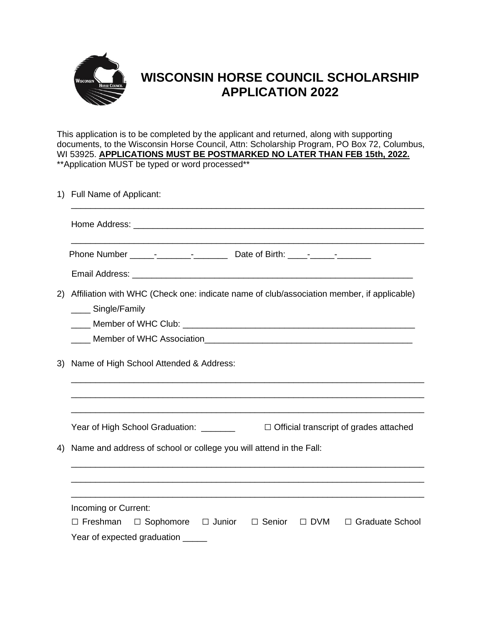

## **WISCONSIN HORSE COUNCIL SCHOLARSHIP APPLICATION 2022**

This application is to be completed by the applicant and returned, along with supporting documents, to the Wisconsin Horse Council, Attn: Scholarship Program, PO Box 72, Columbus, WI 53925. **APPLICATIONS MUST BE POSTMARKED NO LATER THAN FEB 15th, 2022.** \*\*Application MUST be typed or word processed\*\*

| 2)<br>____ Single/Family<br>Name of High School Attended & Address:<br>3)<br>Year of High School Graduation: _______<br>Name and address of school or college you will attend in the Fall:<br>4)<br>Incoming or Current:<br>$\Box$ Freshman<br>$\Box$ Sophomore $\Box$ Junior $\Box$ Senior | 1) Full Name of Applicant:                                                                |  |  |  |  |  |
|---------------------------------------------------------------------------------------------------------------------------------------------------------------------------------------------------------------------------------------------------------------------------------------------|-------------------------------------------------------------------------------------------|--|--|--|--|--|
|                                                                                                                                                                                                                                                                                             |                                                                                           |  |  |  |  |  |
|                                                                                                                                                                                                                                                                                             |                                                                                           |  |  |  |  |  |
|                                                                                                                                                                                                                                                                                             |                                                                                           |  |  |  |  |  |
|                                                                                                                                                                                                                                                                                             | Affiliation with WHC (Check one: indicate name of club/association member, if applicable) |  |  |  |  |  |
|                                                                                                                                                                                                                                                                                             |                                                                                           |  |  |  |  |  |
|                                                                                                                                                                                                                                                                                             |                                                                                           |  |  |  |  |  |
|                                                                                                                                                                                                                                                                                             | $\Box$ Official transcript of grades attached                                             |  |  |  |  |  |
|                                                                                                                                                                                                                                                                                             |                                                                                           |  |  |  |  |  |
|                                                                                                                                                                                                                                                                                             |                                                                                           |  |  |  |  |  |
|                                                                                                                                                                                                                                                                                             |                                                                                           |  |  |  |  |  |
|                                                                                                                                                                                                                                                                                             | □ DVM □ Graduate School<br>Year of expected graduation _____                              |  |  |  |  |  |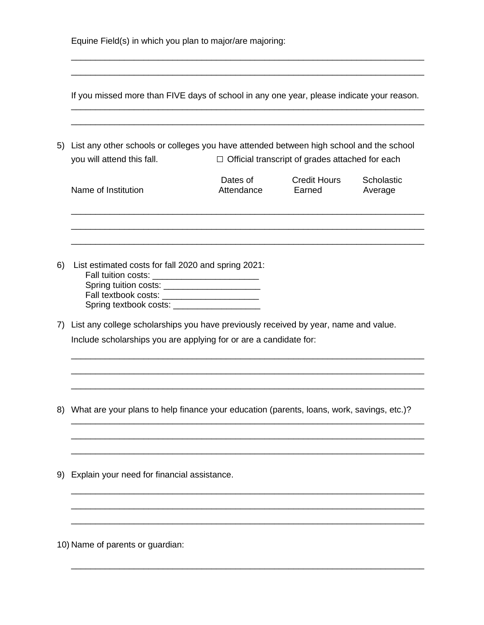| Equine Field(s) in which you plan to major/are majoring: |  |  |  |  |
|----------------------------------------------------------|--|--|--|--|
|----------------------------------------------------------|--|--|--|--|

If you missed more than FIVE days of school in any one year, please indicate your reason. \_\_\_\_\_\_\_\_\_\_\_\_\_\_\_\_\_\_\_\_\_\_\_\_\_\_\_\_\_\_\_\_\_\_\_\_\_\_\_\_\_\_\_\_\_\_\_\_\_\_\_\_\_\_\_\_\_\_\_\_\_\_\_\_\_\_\_\_\_\_\_\_\_

\_\_\_\_\_\_\_\_\_\_\_\_\_\_\_\_\_\_\_\_\_\_\_\_\_\_\_\_\_\_\_\_\_\_\_\_\_\_\_\_\_\_\_\_\_\_\_\_\_\_\_\_\_\_\_\_\_\_\_\_\_\_\_\_\_\_\_\_\_\_\_\_\_

\_\_\_\_\_\_\_\_\_\_\_\_\_\_\_\_\_\_\_\_\_\_\_\_\_\_\_\_\_\_\_\_\_\_\_\_\_\_\_\_\_\_\_\_\_\_\_\_\_\_\_\_\_\_\_\_\_\_\_\_\_\_\_\_\_\_\_\_\_\_\_\_\_ \_\_\_\_\_\_\_\_\_\_\_\_\_\_\_\_\_\_\_\_\_\_\_\_\_\_\_\_\_\_\_\_\_\_\_\_\_\_\_\_\_\_\_\_\_\_\_\_\_\_\_\_\_\_\_\_\_\_\_\_\_\_\_\_\_\_\_\_\_\_\_\_\_

5) List any other schools or colleges you have attended between high school and the school you will attend this fall. □ Official transcript of grades attached for each

| Name of Institution | Dates of<br>Attendance | <b>Credit Hours</b><br>Earned | Scholastic<br>Average |  |
|---------------------|------------------------|-------------------------------|-----------------------|--|
|---------------------|------------------------|-------------------------------|-----------------------|--|

\_\_\_\_\_\_\_\_\_\_\_\_\_\_\_\_\_\_\_\_\_\_\_\_\_\_\_\_\_\_\_\_\_\_\_\_\_\_\_\_\_\_\_\_\_\_\_\_\_\_\_\_\_\_\_\_\_\_\_\_\_\_\_\_\_\_\_\_\_\_\_\_\_ \_\_\_\_\_\_\_\_\_\_\_\_\_\_\_\_\_\_\_\_\_\_\_\_\_\_\_\_\_\_\_\_\_\_\_\_\_\_\_\_\_\_\_\_\_\_\_\_\_\_\_\_\_\_\_\_\_\_\_\_\_\_\_\_\_\_\_\_\_\_\_\_\_

- 6) List estimated costs for fall 2020 and spring 2021: Fall tuition costs: \_\_\_\_\_\_\_\_\_\_\_\_\_\_\_\_\_\_\_\_\_\_ Spring tuition costs: \_\_\_\_\_\_\_\_\_\_\_\_\_\_\_\_\_\_\_\_ Fall textbook costs: \_\_\_\_\_\_\_\_\_\_\_\_\_\_\_\_\_\_\_\_ Spring textbook costs: \_\_\_\_\_\_\_\_\_\_\_\_\_\_\_\_\_\_
- 7) List any college scholarships you have previously received by year, name and value. Include scholarships you are applying for or are a candidate for:
- 8) What are your plans to help finance your education (parents, loans, work, savings, etc.)?

\_\_\_\_\_\_\_\_\_\_\_\_\_\_\_\_\_\_\_\_\_\_\_\_\_\_\_\_\_\_\_\_\_\_\_\_\_\_\_\_\_\_\_\_\_\_\_\_\_\_\_\_\_\_\_\_\_\_\_\_\_\_\_\_\_\_\_\_\_\_\_\_\_ \_\_\_\_\_\_\_\_\_\_\_\_\_\_\_\_\_\_\_\_\_\_\_\_\_\_\_\_\_\_\_\_\_\_\_\_\_\_\_\_\_\_\_\_\_\_\_\_\_\_\_\_\_\_\_\_\_\_\_\_\_\_\_\_\_\_\_\_\_\_\_\_\_ \_\_\_\_\_\_\_\_\_\_\_\_\_\_\_\_\_\_\_\_\_\_\_\_\_\_\_\_\_\_\_\_\_\_\_\_\_\_\_\_\_\_\_\_\_\_\_\_\_\_\_\_\_\_\_\_\_\_\_\_\_\_\_\_\_\_\_\_\_\_\_\_\_

\_\_\_\_\_\_\_\_\_\_\_\_\_\_\_\_\_\_\_\_\_\_\_\_\_\_\_\_\_\_\_\_\_\_\_\_\_\_\_\_\_\_\_\_\_\_\_\_\_\_\_\_\_\_\_\_\_\_\_\_\_\_\_\_\_\_\_\_\_\_\_\_\_ \_\_\_\_\_\_\_\_\_\_\_\_\_\_\_\_\_\_\_\_\_\_\_\_\_\_\_\_\_\_\_\_\_\_\_\_\_\_\_\_\_\_\_\_\_\_\_\_\_\_\_\_\_\_\_\_\_\_\_\_\_\_\_\_\_\_\_\_\_\_\_\_\_ \_\_\_\_\_\_\_\_\_\_\_\_\_\_\_\_\_\_\_\_\_\_\_\_\_\_\_\_\_\_\_\_\_\_\_\_\_\_\_\_\_\_\_\_\_\_\_\_\_\_\_\_\_\_\_\_\_\_\_\_\_\_\_\_\_\_\_\_\_\_\_\_\_

\_\_\_\_\_\_\_\_\_\_\_\_\_\_\_\_\_\_\_\_\_\_\_\_\_\_\_\_\_\_\_\_\_\_\_\_\_\_\_\_\_\_\_\_\_\_\_\_\_\_\_\_\_\_\_\_\_\_\_\_\_\_\_\_\_\_\_\_\_\_\_\_\_ \_\_\_\_\_\_\_\_\_\_\_\_\_\_\_\_\_\_\_\_\_\_\_\_\_\_\_\_\_\_\_\_\_\_\_\_\_\_\_\_\_\_\_\_\_\_\_\_\_\_\_\_\_\_\_\_\_\_\_\_\_\_\_\_\_\_\_\_\_\_\_\_\_ \_\_\_\_\_\_\_\_\_\_\_\_\_\_\_\_\_\_\_\_\_\_\_\_\_\_\_\_\_\_\_\_\_\_\_\_\_\_\_\_\_\_\_\_\_\_\_\_\_\_\_\_\_\_\_\_\_\_\_\_\_\_\_\_\_\_\_\_\_\_\_\_\_

\_\_\_\_\_\_\_\_\_\_\_\_\_\_\_\_\_\_\_\_\_\_\_\_\_\_\_\_\_\_\_\_\_\_\_\_\_\_\_\_\_\_\_\_\_\_\_\_\_\_\_\_\_\_\_\_\_\_\_\_\_\_\_\_\_\_\_\_\_\_\_\_\_

9) Explain your need for financial assistance.

10) Name of parents or guardian: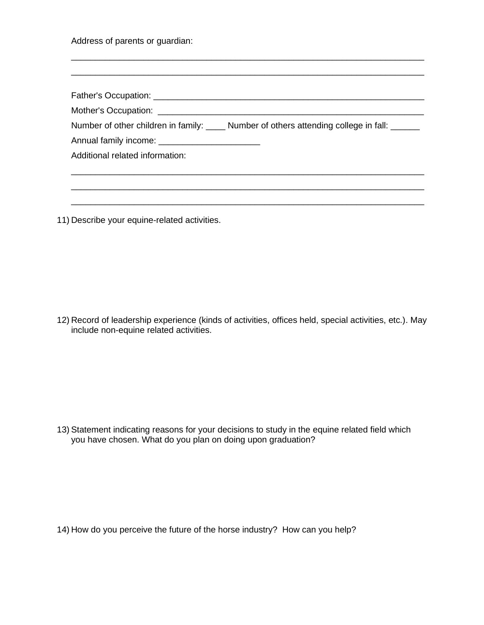Address of parents or guardian:

|                                                | Number of other children in family: _____ Number of others attending college in fall: ______ |
|------------------------------------------------|----------------------------------------------------------------------------------------------|
| Annual family income: ________________________ |                                                                                              |
| Additional related information:                |                                                                                              |
|                                                |                                                                                              |
|                                                |                                                                                              |
|                                                |                                                                                              |

\_\_\_\_\_\_\_\_\_\_\_\_\_\_\_\_\_\_\_\_\_\_\_\_\_\_\_\_\_\_\_\_\_\_\_\_\_\_\_\_\_\_\_\_\_\_\_\_\_\_\_\_\_\_\_\_\_\_\_\_\_\_\_\_\_\_\_\_\_\_\_\_\_

11) Describe your equine-related activities.

12) Record of leadership experience (kinds of activities, offices held, special activities, etc.). May include non-equine related activities.

13) Statement indicating reasons for your decisions to study in the equine related field which you have chosen. What do you plan on doing upon graduation?

14) How do you perceive the future of the horse industry? How can you help?